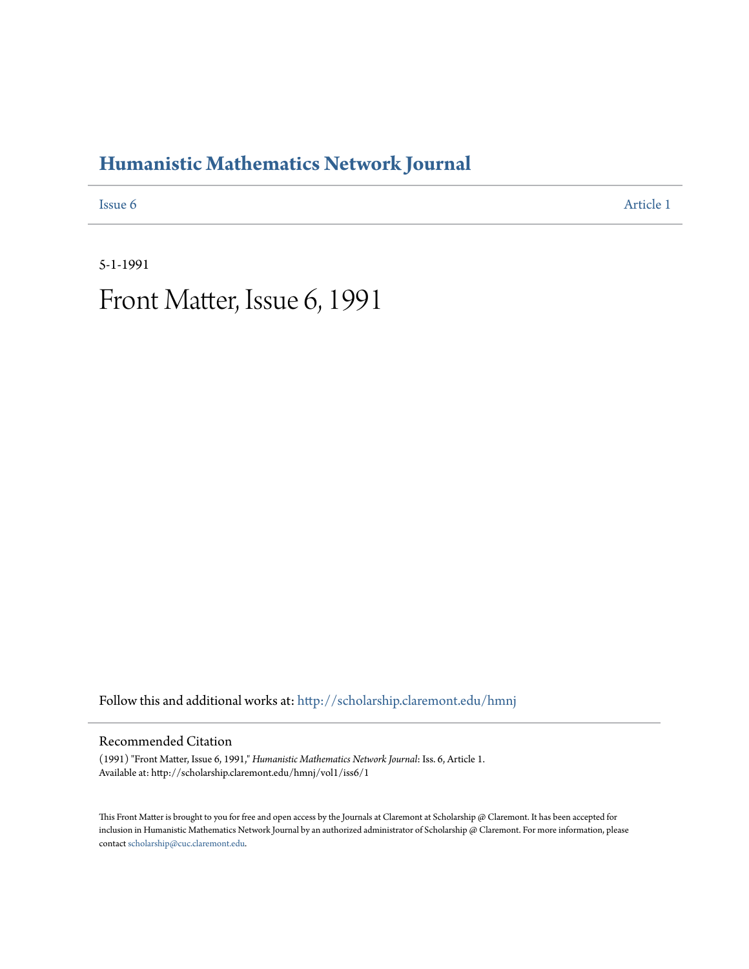# **[Humanistic Mathematics Network Journal](http://scholarship.claremont.edu/hmnj?utm_source=scholarship.claremont.edu%2Fhmnj%2Fvol1%2Fiss6%2F1&utm_medium=PDF&utm_campaign=PDFCoverPages)**

**[Issue 6](http://scholarship.claremont.edu/hmnj/vol1/iss6?utm_source=scholarship.claremont.edu%2Fhmnj%2Fvol1%2Fiss6%2F1&utm_medium=PDF&utm_campaign=PDFCoverPages)** [Article 1](http://scholarship.claremont.edu/hmnj/vol1/iss6/1?utm_source=scholarship.claremont.edu%2Fhmnj%2Fvol1%2Fiss6%2F1&utm_medium=PDF&utm_campaign=PDFCoverPages)

5-1-1991

Front Matter, Issue 6, 1991

Follow this and additional works at: [http://scholarship.claremont.edu/hmnj](http://scholarship.claremont.edu/hmnj?utm_source=scholarship.claremont.edu%2Fhmnj%2Fvol1%2Fiss6%2F1&utm_medium=PDF&utm_campaign=PDFCoverPages)

#### Recommended Citation

(1991) "Front Matter, Issue 6, 1991," *Humanistic Mathematics Network Journal*: Iss. 6, Article 1. Available at: http://scholarship.claremont.edu/hmnj/vol1/iss6/1

This Front Matter is brought to you for free and open access by the Journals at Claremont at Scholarship @ Claremont. It has been accepted for inclusion in Humanistic Mathematics Network Journal by an authorized administrator of Scholarship @ Claremont. For more information, please contact [scholarship@cuc.claremont.edu](mailto:scholarship@cuc.claremont.edu).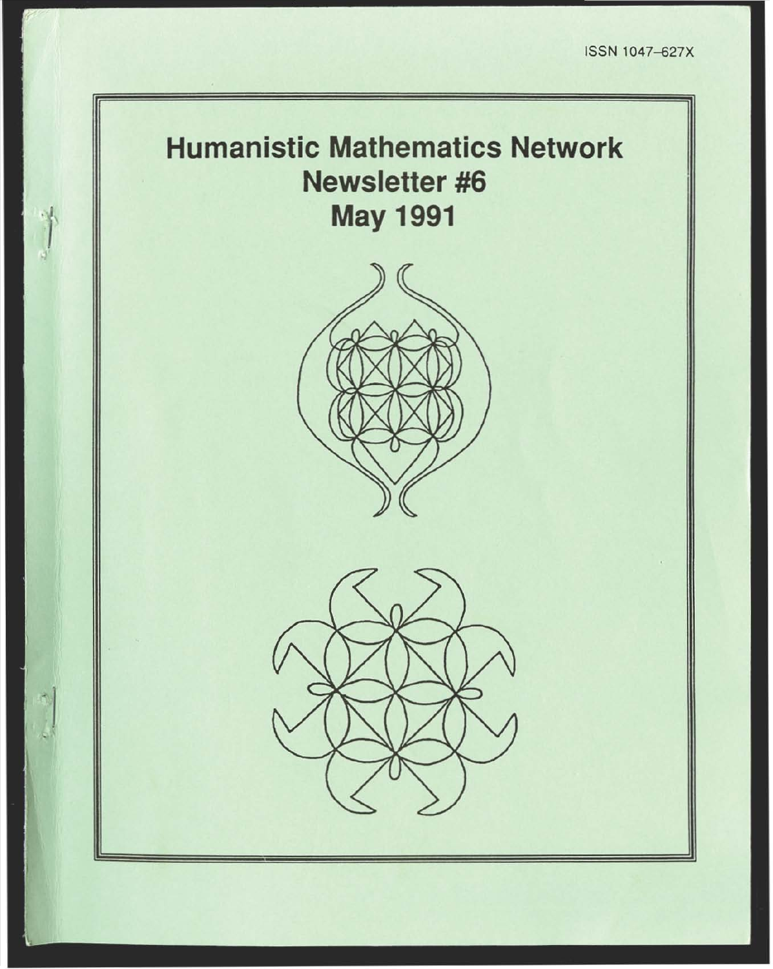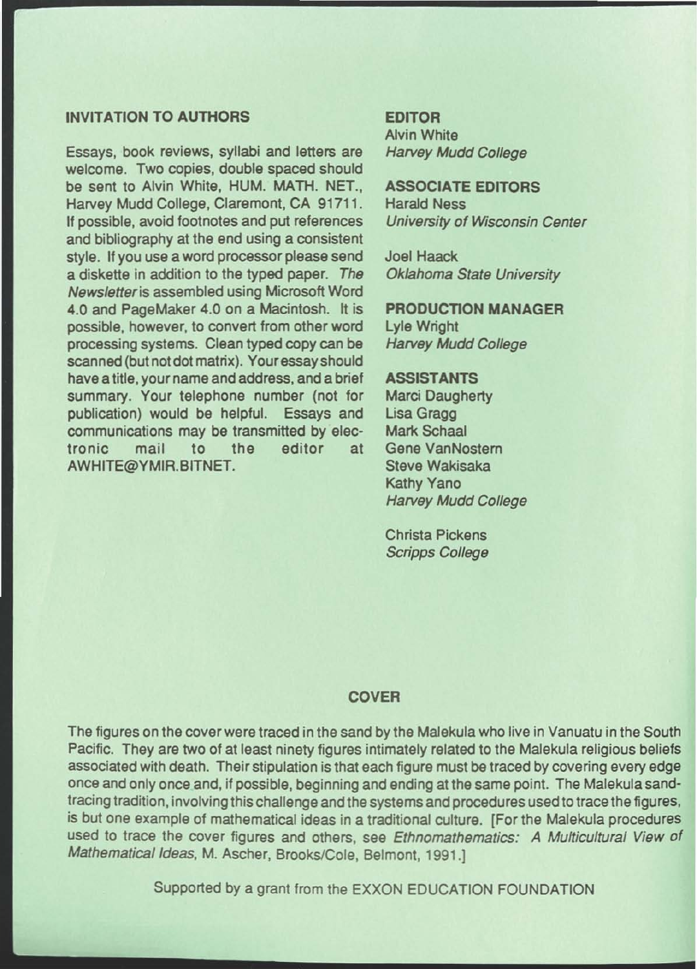### INVITATION TO AUTHORS

Essays, book reviews, syllabi and letters are welcome. Two copies, double spaced should be sent to Alvin White, HUM. MATH. NET., Harvey Mudd College, Claremont, CA 91711. If possible, avoid footnotes and put references and bibliography at the end using a consistent style. If you use a word processor please send a diskette in addition to the typed paper. The Newsletteris assembled using Microsoft Word 4.0 and PageMaker 4.0 on a Macintosh. It is possible, however, to convert from other word processing systems. Clean typed copy can be scanned (but not dot matrix). Your essay should have a title, your name and address, and a brief summary. Your telephone number (not for publication) would be helpful. Essays and communications may be transmitted by electronic mail to the editor at AWHITE@YMIR.BITNET.

#### EDITOR

Alvin White Harvey Mudd College

## ASSOCIATE EDITORS Harald Ness

University of Wisconsin Center

Joel Haack Oklahoma State University

#### PRODUCTION **MANAGER**

Lyle Wright Harvey Mudd College

#### ASSISTANTS

Marci Daugherty Lisa Gragg Mark Schaal Gene VanNostem Steve Wakisaka Kathy Yano Harvey Mudd College

Christa Pickens Scripps College

#### COVER

The figures on the cover were traced in the sand by the Malekula who live in Vanuatu in the South Pacific. They are two of at least ninety figures intimately related to the Malekula religious beliefs associated with death. Their stipulation is that each figure must be traced by covering every edge once and only once and, if possible, beginning and ending at the same point. The Malekula sandtracing tradition, involving this challenge and the systems and procedures used to trace the figures, is but one example of mathematical ideas in a traditional culture. [For the Malekula procedures used to trace the cover figures and others, see Ethnomathematics: A Multicultural View of Mathematical Ideas, M. Ascher, Brooks/Cole, Belmont, 1991.]

Supported by a grant from the EXXON EDUCATION FOUNDATION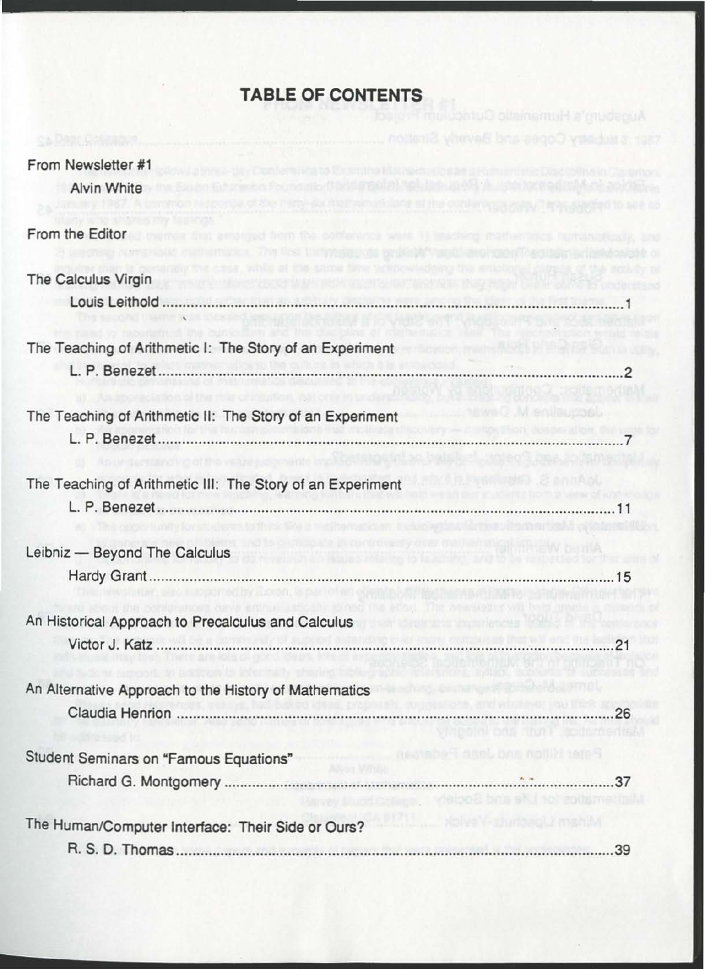# **TABLE OF CONTENTS**

| From Newsletter #1                                         |                                                  |
|------------------------------------------------------------|--------------------------------------------------|
| <b>Alvin White</b>                                         |                                                  |
| From the Editor                                            | ged from the potteriors were 11 leading man      |
| The Calculus Virgin                                        |                                                  |
| Louis Leithold                                             |                                                  |
| The Teaching of Arithmetic I: The Story of an Experiment   |                                                  |
|                                                            |                                                  |
| The Teaching of Arithmetic II: The Story of an Experiment  |                                                  |
|                                                            |                                                  |
| The Teaching of Arithmetic III: The Story of an Experiment |                                                  |
|                                                            |                                                  |
| Leibniz - Beyond The Calculus                              | <b>Excel of Bridges Poly Po to March</b>         |
|                                                            |                                                  |
| An Historical Approach to Precalculus and Calculus         |                                                  |
|                                                            | 21                                               |
| An Alternative Approach to the History of Mathematics      |                                                  |
|                                                            | $\frac{1}{26}$<br>Program on that technology     |
| Student Seminars on "Famous Equations"                     | Peateble <sup>ct</sup> deal, and Joseph Pederson |
|                                                            |                                                  |
| The Human/Computer Interface: Their Side or Ours?          | anii mahii l                                     |
|                                                            |                                                  |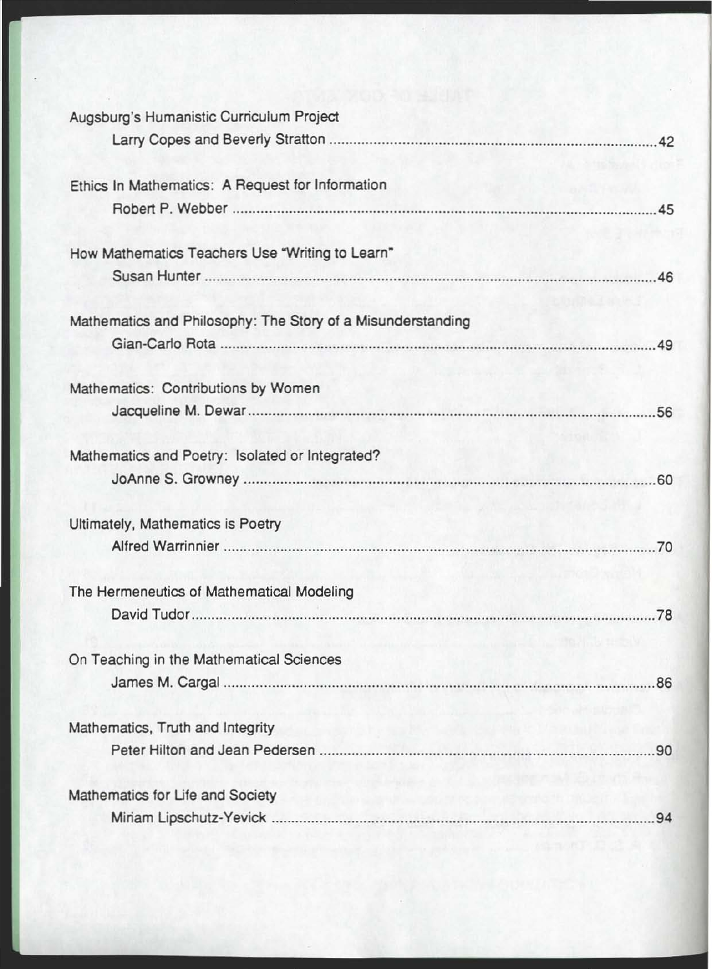| Augsburg's Humanistic Curriculum Project                                              |  |
|---------------------------------------------------------------------------------------|--|
|                                                                                       |  |
| Ethics In Mathematics: A Request for Information                                      |  |
|                                                                                       |  |
| How Mathematics Teachers Use "Writing to Learn"                                       |  |
|                                                                                       |  |
| Mathematics and Philosophy: The Story of a Misunderstanding                           |  |
|                                                                                       |  |
| Mathematics: Contributions by Women                                                   |  |
|                                                                                       |  |
| Mathematics and Poetry: Isolated or Integrated?                                       |  |
|                                                                                       |  |
| Ultimately, Mathematics is Poetry                                                     |  |
|                                                                                       |  |
| The Hermeneutics of Mathematical Modeling                                             |  |
|                                                                                       |  |
| On Teaching in the Mathematical Sciences                                              |  |
|                                                                                       |  |
| Mathematics, Truth and Integrity<br><b>MELFINIER STATE AND REAL PROPERTY</b>          |  |
|                                                                                       |  |
| Mathematics for Life and Society<br>When the Market and the company of the company of |  |
|                                                                                       |  |